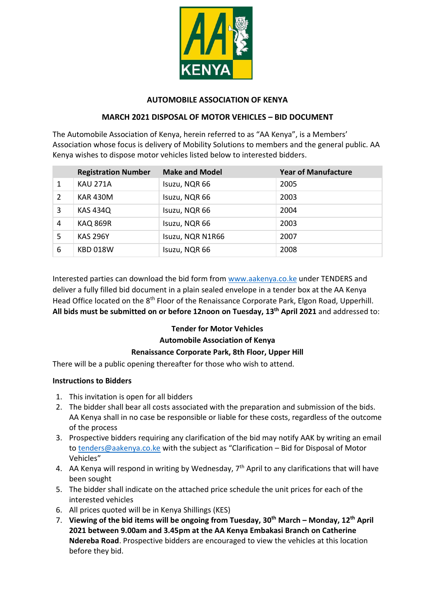

### **AUTOMOBILE ASSOCIATION OF KENYA**

### **MARCH 2021 DISPOSAL OF MOTOR VEHICLES – BID DOCUMENT**

The Automobile Association of Kenya, herein referred to as "AA Kenya", is a Members' Association whose focus is delivery of Mobility Solutions to members and the general public. AA Kenya wishes to dispose motor vehicles listed below to interested bidders.

|   | <b>Registration Number</b> | <b>Make and Model</b> | <b>Year of Manufacture</b> |
|---|----------------------------|-----------------------|----------------------------|
| 1 | <b>KAU 271A</b>            | Isuzu, NQR 66         | 2005                       |
| 2 | <b>KAR 430M</b>            | Isuzu, NQR 66         | 2003                       |
| 3 | <b>KAS 434Q</b>            | Isuzu, NQR 66         | 2004                       |
| 4 | <b>KAQ 869R</b>            | Isuzu, NQR 66         | 2003                       |
| 5 | <b>KAS 296Y</b>            | Isuzu, NQR N1R66      | 2007                       |
| 6 | <b>KBD 018W</b>            | Isuzu, NQR 66         | 2008                       |

Interested parties can download the bid form from [www.aakenya.co.ke](http://www.aakenya.co.ke/) under TENDERS and deliver a fully filled bid document in a plain sealed envelope in a tender box at the AA Kenya Head Office located on the 8<sup>th</sup> Floor of the Renaissance Corporate Park, Elgon Road, Upperhill. **All bids must be submitted on or before 12noon on Tuesday, 13th April 2021** and addressed to:

# **Tender for Motor Vehicles**

# **Automobile Association of Kenya**

#### **Renaissance Corporate Park, 8th Floor, Upper Hill**

There will be a public opening thereafter for those who wish to attend.

#### **Instructions to Bidders**

- 1. This invitation is open for all bidders
- 2. The bidder shall bear all costs associated with the preparation and submission of the bids. AA Kenya shall in no case be responsible or liable for these costs, regardless of the outcome of the process
- 3. Prospective bidders requiring any clarification of the bid may notify AAK by writing an email to [tenders@aakenya.co.ke](mailto:tenders@aakenya.co.ke) with the subject as "Clarification – Bid for Disposal of Motor Vehicles"
- 4. AA Kenya will respond in writing by Wednesday,  $7<sup>th</sup>$  April to any clarifications that will have been sought
- 5. The bidder shall indicate on the attached price schedule the unit prices for each of the interested vehicles
- 6. All prices quoted will be in Kenya Shillings (KES)
- 7. **Viewing of the bid items will be ongoing from Tuesday, 30th March – Monday, 12th April 2021 between 9.00am and 3.45pm at the AA Kenya Embakasi Branch on Catherine Ndereba Road**. Prospective bidders are encouraged to view the vehicles at this location before they bid.